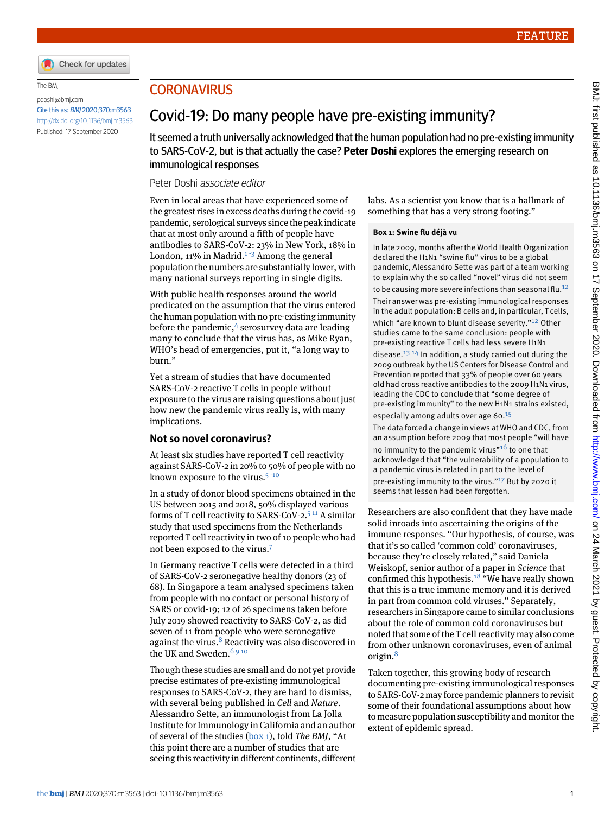

#### The BMJ

[pdoshi@bmj.com](mailto:pdoshi@bmj.com) Cite this as: BMJ 2020;370:m3563 <http://dx.doi.org/10.1136/bmj.m3563> Published: 17 September 2020

# **CORONAVIRUS**

# Covid-19: Do many people have pre-existing immunity?

It seemed a truth universally acknowledged that the human population had no pre-existing immunity to SARS-CoV-2, but is that actually the case? **Peter Doshi** explores the emerging research on immunological responses

### Peter Doshi associate editor

Even in local areas that have experienced some of the greatest rises in excess deaths during the covid-19 pandemic, serological surveys since the peak indicate that at most only around a fifth of people have antibodies to SARS-CoV-2: 23% in New York, 18% in London,  $11\%$  $11\%$  in Madrid.<sup>1 [-](#page-2-1)[3](#page-2-2)</sup> Among the general population the numbers are substantially lower, with many national surveys reporting in single digits.

With public health responses around the world predicated on the assumption that the virus entered the human population with no pre-existing immunity before the pandemic,<sup>[4](#page-2-3)</sup> serosurvey data are leading many to conclude that the virus has, as Mike Ryan, WHO's head of emergencies, put it, "a long way to burn."

Yet a stream of studies that have documented SARS-CoV-2 reactive T cells in people without exposure to the virus are raising questions about just how new the pandemic virus really is, with many implications.

## **Not so novel coronavirus?**

At least six studies have reported T cell reactivity against SARS-CoV-2 in 20% to 50% of people with no known exposure to the virus. $5 - 10$  $5 - 10$  $5 - 10$  $5 - 10$ 

In a study of donor blood specimens obtained in the US between 2015 and 2018, 50% displayed various forms of T cell reactivity to SARS-CoV-2.[5](#page-2-4) [11](#page-2-7) A similar study that used specimens from the Netherlands reported T cell reactivity in two of 10 people who had not been exposed to the virus.[7](#page-2-8)

In Germany reactive T cells were detected in a third of SARS-CoV-2 seronegative healthy donors (23 of 68). In Singapore a team analysed specimens taken from people with no contact or personal history of SARS or covid-19; 12 of 26 specimens taken before July 2019 showed reactivity to SARS-CoV-2, as did seven of 11 from people who were seronegative against the virus. $8$  Reactivity was also discovered in the UK and Sweden.<sup>[6](#page-2-5)910</sup>

Though these studies are small and do not yet provide precise estimates of pre-existing immunological responses to SARS-CoV-2, they are hard to dismiss, with several being published in *Cell* and *Nature*. Alessandro Sette, an immunologist from La Jolla Institute for Immunology in California and an author of several of the studies [\(box 1\)](#page-0-0), told *The BMJ*, "At this point there are a number of studies that are seeing this reactivity in different continents, different <span id="page-0-0"></span>labs. As a scientist you know that is a hallmark of something that has a very strong footing."

#### **Box 1: Swine flu déjà vu**

In late 2009, months after the World Health Organization declared the H1N1 "swine flu" virus to be a global pandemic, Alessandro Sette was part of a team working to explain why the so called "novel" virus did not seem to be causing more severe infections than seasonal flu.<sup>[12](#page-2-11)</sup> Their answer was pre-existing immunological responses in the adult population: B cells and, in particular, T cells, which "are known to blunt disease severity."<sup>[12](#page-2-11)</sup> Other studies came to the same conclusion: people with pre-existing reactive T cells had less severe H1N1 disease. $^{13}$  $^{13}$  $^{13}$  <sup>14</sup> In addition, a study carried out during the 2009 outbreak by the US Centers for Disease Control and Prevention reported that 33% of people over 60 years old had cross reactive antibodies to the 2009 H1N1 virus, leading the CDC to conclude that "some degree of pre-existing immunity" to the new H1N1 strains existed, especially among adults over age 60.[15](#page-3-0)

The data forced a change in views at WHO and CDC, from an assumption before 2009 that most people "will have no immunity to the pandemic virus"<sup>[16](#page-3-1)</sup> to one that acknowledged that "the vulnerability of a population to a pandemic virus is related in part to the level of pre-existing immunity to the virus."<sup>[17](#page-3-2)</sup> But by 2020 it seems that lesson had been forgotten.

Researchers are also confident that they have made solid inroads into ascertaining the origins of the immune responses. "Our hypothesis, of course, was that it's so called 'common cold' coronaviruses, because they're closely related," said Daniela Weiskopf, senior author of a paper in *Science* that confirmed this hypothesis.<sup>[18](#page-3-3)</sup> "We have really shown that this is a true immune memory and it is derived in part from common cold viruses." Separately, researchers in Singapore came to similar conclusions about the role of common cold coronaviruses but noted that some of the T cell reactivity may also come from other unknown coronaviruses, even of animal origin.<sup>[8](#page-2-9)</sup>

Taken together, this growing body of research documenting pre-existing immunological responses to SARS-CoV-2 may force pandemic planners to revisit some of their foundational assumptions about how to measure population susceptibility and monitor the extent of epidemic spread.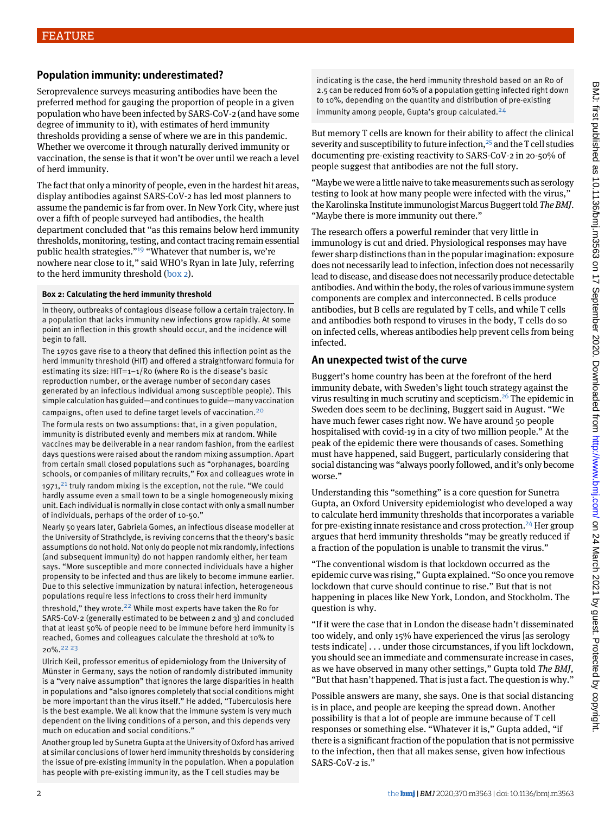# **Population immunity: underestimated?**

Seroprevalence surveys measuring antibodies have been the preferred method for gauging the proportion of people in a given population who have been infected by SARS-CoV-2 (and have some degree of immunity to it), with estimates of herd immunity thresholds providing a sense of where we are in this pandemic. Whether we overcome it through naturally derived immunity or vaccination, the sense is that it won't be over until we reach a level of herd immunity.

The fact that only a minority of people, even in the hardest hit areas, display antibodies against SARS-CoV-2 has led most planners to assume the pandemic is far from over. In New York City, where just over a fifth of people surveyed had antibodies, the health department concluded that "as this remains below herd immunity thresholds, monitoring, testing, and contact tracing remain essential public health strategies."<sup>[19](#page-3-4)</sup> "Whatever that number is, we're nowhere near close to it," said WHO's Ryan in late July, referring to the herd immunity threshold ([box 2](#page-1-0)).

### <span id="page-1-0"></span>**Box 2: Calculating the herd immunity threshold**

In theory, outbreaks of contagious disease follow a certain trajectory. In a population that lacks immunity new infections grow rapidly. At some point an inflection in this growth should occur, and the incidence will begin to fall.

The 1970s gave rise to a theory that defined this inflection point as the herd immunity threshold (HIT) and offered a straightforward formula for estimating its size: HIT=1−1/R0 (where R0 is the disease's basic reproduction number, or the average number of secondary cases generated by an infectious individual among susceptible people). This simple calculation has guided—and continues to guide—many vaccination

campaigns, often used to define target levels of vaccination.[20](#page-3-5)

The formula rests on two assumptions: that, in a given population, immunity is distributed evenly and members mix at random. While vaccines may be deliverable in a near random fashion, from the earliest days questions were raised about the random mixing assumption. Apart from certain small closed populations such as "orphanages, boarding schools, or companies of military recruits," Fox and colleagues wrote in 1971, $^{21}$  $^{21}$  $^{21}$  truly random mixing is the exception, not the rule. "We could hardly assume even a small town to be a single homogeneously mixing unit. Each individual is normally in close contact with only a small number of individuals, perhaps of the order of 10-50."

Nearly 50 years later, Gabriela Gomes, an infectious disease modeller at the University of Strathclyde, is reviving concerns that the theory's basic assumptions do not hold. Not only do people not mix randomly, infections (and subsequent immunity) do not happen randomly either, her team says. "More susceptible and more connected individuals have a higher propensity to be infected and thus are likely to become immune earlier. Due to this selective immunization by natural infection, heterogeneous populations require less infections to cross their herd immunity threshold," they wrote. $22$  While most experts have taken the Ro for SARS-CoV-2 (generally estimated to be between 2 and 3) and concluded that at least 50% of people need to be immune before herd immunity is reached, Gomes and colleagues calculate the threshold at 10% to 20%.[22](#page-3-7) [23](#page-3-8)

Ulrich Keil, professor emeritus of epidemiology from the University of Münster in Germany, says the notion of randomly distributed immunity is a "very naive assumption" that ignores the large disparities in health in populations and "also ignores completely that social conditions might be more important than the virus itself." He added, "Tuberculosis here is the best example. We all know that the immune system is very much dependent on the living conditions of a person, and this depends very much on education and social conditions."

Another group led by Sunetra Gupta at the University of Oxford has arrived at similar conclusions of lower herd immunity thresholds by considering the issue of pre-existing immunity in the population. When a population has people with pre-existing immunity, as the T cell studies may be

indicating is the case, the herd immunity threshold based on an Ro of 2.5 can be reduced from 60% of a population getting infected right down to 10%, depending on the quantity and distribution of pre-existing immunity among people, Gupta's group calculated. $24$ 

But memory T cells are known for their ability to affect the clinical severity and susceptibility to future infection, $25$  and the T cell studies documenting pre-existing reactivity to SARS-CoV-2 in 20-50% of people suggest that antibodies are not the full story.

"Maybe we were a little naive to take measurements such as serology testing to look at how many people were infected with the virus," the Karolinska Institute immunologist Marcus Buggert told *The BMJ*. "Maybe there is more immunity out there."

The research offers a powerful reminder that very little in immunology is cut and dried. Physiological responses may have fewer sharp distinctions than in the popular imagination: exposure does not necessarily lead to infection, infection does not necessarily lead to disease, and disease does not necessarily produce detectable antibodies. And within the body, the roles of various immune system components are complex and interconnected. B cells produce antibodies, but B cells are regulated by T cells, and while T cells and antibodies both respond to viruses in the body, T cells do so on infected cells, whereas antibodies help prevent cells from being infected.

# **An unexpected twist of the curve**

Buggert's home country has been at the forefront of the herd immunity debate, with Sweden's light touch strategy against the virus resulting in much scrutiny and scepticism.<sup>[26](#page-3-11)</sup> The epidemic in Sweden does seem to be declining, Buggert said in August. "We have much fewer cases right now. We have around 50 people hospitalised with covid-19 in a city of two million people." At the peak of the epidemic there were thousands of cases. Something must have happened, said Buggert, particularly considering that social distancing was "always poorly followed, and it's only become worse."

Understanding this "something" is a core question for Sunetra Gupta, an Oxford University epidemiologist who developed a way to calculate herd immunity thresholds that incorporates a variable for pre-existing innate resistance and cross protection.<sup>[24](#page-3-9)</sup> Her group argues that herd immunity thresholds "may be greatly reduced if a fraction of the population is unable to transmit the virus."

"The conventional wisdom is that lockdown occurred as the epidemic curve was rising," Gupta explained. "So once you remove lockdown that curve should continue to rise." But that is not happening in places like New York, London, and Stockholm. The question is why.

"If it were the case that in London the disease hadn't disseminated too widely, and only 15% have experienced the virus [as serology tests indicate] . . . under those circumstances, if you lift lockdown, you should see an immediate and commensurate increase in cases, as we have observed in many other settings," Gupta told *The BMJ*, "But that hasn't happened. That is just a fact. The question is why."

Possible answers are many, she says. One is that social distancing is in place, and people are keeping the spread down. Another possibility is that a lot of people are immune because of T cell responses or something else. "Whatever it is," Gupta added, "if there is a significant fraction of the population that is not permissive to the infection, then that all makes sense, given how infectious SARS-CoV-2 is."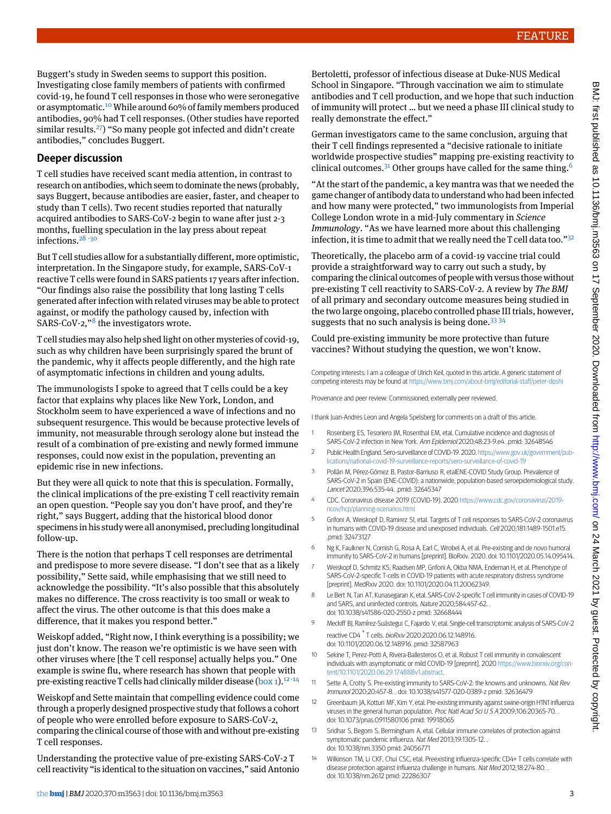Buggert's study in Sweden seems to support this position. Investigating close family members of patients with confirmed covid-19, he found T cell responses in those who were seronegative or asymptomatic.[10](#page-2-6) While around 60% of family members produced antibodies, 90% had T cell responses. (Other studies have reported similar results.<sup>[27](#page-3-12)</sup>) "So many people got infected and didn't create antibodies," concludes Buggert.

# **Deeper discussion**

T cell studies have received scant media attention, in contrast to research on antibodies, which seem to dominate the news (probably, says Buggert, because antibodies are easier, faster, and cheaper to study than T cells). Two recent studies reported that naturally acquired antibodies to SARS-CoV-2 begin to wane after just 2-3 months, fuelling speculation in the lay press about repeat infections.<sup>[28](#page-3-13) [-](#page-3-14)[30](#page-3-15)</sup>

But T cell studies allow for a substantially different, more optimistic, interpretation. In the Singapore study, for example, SARS-CoV-1 reactive T cells were found in SARS patients 17 years after infection. "Our findings also raise the possibility that long lasting T cells generated after infection with related viruses may be able to protect against, or modify the pathology caused by, infection with SARS-CoV-2,"<sup>[8](#page-2-9)</sup> the investigators wrote.

T cell studies may also help shed light on other mysteries of covid-19, such as why children have been surprisingly spared the brunt of the pandemic, why it affects people differently, and the high rate of asymptomatic infections in children and young adults.

The immunologists I spoke to agreed that T cells could be a key factor that explains why places like New York, London, and Stockholm seem to have experienced a wave of infections and no subsequent resurgence. This would be because protective levels of immunity, not measurable through serology alone but instead the result of a combination of pre-existing and newly formed immune responses, could now exist in the population, preventing an epidemic rise in new infections.

But they were all quick to note that this is speculation. Formally, the clinical implications of the pre-existing T cell reactivity remain an open question. "People say you don't have proof, and they're right," says Buggert, adding that the historical blood donor specimens in his study were all anonymised, precluding longitudinal follow-up.

There is the notion that perhaps T cell responses are detrimental and predispose to more severe disease. "I don't see that as a likely possibility," Sette said, while emphasising that we still need to acknowledge the possibility. "It's also possible that this absolutely makes no difference. The cross reactivity is too small or weak to affect the virus. The other outcome is that this does make a difference, that it makes you respond better."

Weiskopf added, "Right now, I think everything is a possibility; we just don't know. The reason we're optimistic is we have seen with other viruses where [the T cell response] actually helps you." One example is swine flu, where research has shown that people with pre-existing reactive T cells had clinically milder disease (box  $1$ ).<sup>[12](#page-2-11)-[14](#page-2-13)</sup>

Weiskopf and Sette maintain that compelling evidence could come through a properly designed prospective study that follows a cohort of people who were enrolled before exposure to SARS-CoV-2, comparing the clinical course of those with and without pre-existing T cell responses.

Understanding the protective value of pre-existing SARS-CoV-2 T cell reactivity "is identical to the situation on vaccines," said Antonio Bertoletti, professor of infectious disease at Duke-NUS Medical School in Singapore. "Through vaccination we aim to stimulate antibodies and T cell production, and we hope that such induction of immunity will protect … but we need a phase III clinical study to really demonstrate the effect."

German investigators came to the same conclusion, arguing that their T cell findings represented a "decisive rationale to initiate worldwide prospective studies" mapping pre-existing reactivity to clinical outcomes.<sup>[31](#page-3-16)</sup> Other groups have called for the same thing.<sup>[6](#page-2-5)</sup>

"At the start of the pandemic, a key mantra was that we needed the game changer of antibody data to understand who had been infected and how many were protected," two immunologists from Imperial College London wrote in a mid-July commentary in *Science Immunology*. "As we have learned more about this challenging infection, it is time to admit that we really need the T cell data too."<sup>[32](#page-3-17)</sup>

Theoretically, the placebo arm of a covid-19 vaccine trial could provide a straightforward way to carry out such a study, by comparing the clinical outcomes of people with versus those without pre-existing T cell reactivity to SARS-CoV-2. A review by *The BMJ* of all primary and secondary outcome measures being studied in the two large ongoing, placebo controlled phase III trials, however, suggests that no such analysis is being done.  $33\frac{34}{3}$  $33\frac{34}{3}$ 

Could pre-existing immunity be more protective than future vaccines? Without studying the question, we won't know.

<span id="page-2-0"></span>Competing interests: I am a colleague of Ulrich Keil, quoted in this article. A generic statement of competing interests may be found at <https://www.bmj.com/about-bmj/editorial-staff/peter-doshi>

<span id="page-2-1"></span>Provenance and peer review: Commissioned; externally peer reviewed.

<span id="page-2-2"></span>I thank Juan-Andres Leon and Angela Spelsberg for comments on a draft of this article.

- 1 Rosenberg ES, Tesoriero JM, Rosenthal EM, etal. Cumulative incidence and diagnosis of SARS-CoV-2 infection in New York. Ann Epidemiol 2020;48:23-9.e4. .pmid: 32648546
- <span id="page-2-3"></span>2 Public Health England. Sero-surveillance of COVID-19. 2020. [https://www.gov.uk/government/pub](https://www.gov.uk/government/publications/national-covid-19-surveillance-reports/sero-surveillance-of-covid-19)[lications/national-covid-19-surveillance-reports/sero-surveillance-of-covid-19](https://www.gov.uk/government/publications/national-covid-19-surveillance-reports/sero-surveillance-of-covid-19)
- <span id="page-2-4"></span>3 Pollán M, Pérez-Gómez B, Pastor-Barriuso R, etalENE-COVID Study Group. Prevalence of SARS-CoV-2 in Spain (ENE-COVID): a nationwide, population-based seroepidemiological study. Lancet 2020;396:535-44. .pmid: 32645347
- <span id="page-2-8"></span><span id="page-2-5"></span>4 CDC. Coronavirus disease 2019 (COVID-19). 2020 [https://www.cdc.gov/coronavirus/2019](https://www.cdc.gov/coronavirus/2019-ncov/hcp/planning-scenarios.html) [ncov/hcp/planning-scenarios.html](https://www.cdc.gov/coronavirus/2019-ncov/hcp/planning-scenarios.html)
- <span id="page-2-9"></span>5 Grifoni A, Weiskopf D, Ramirez SI, etal. Targets of T cell responses to SARS-CoV-2 coronavirus in humans with COVID-19 disease and unexposed individuals. Cell 2020;181:1489-1501.e15. .pmid: 32473127
- <span id="page-2-10"></span>6 Ng K, Faulkner N, Cornish G, Rosa A, Earl C, Wrobel A, et al. Pre-existing and de novo humoral immunity to SARS-CoV-2 in humans [preprint]. BioRxiv. 2020. doi: 10.1101/2020.05.14.095414.
- 7 Weiskopf D, Schmitz KS, Raadsen MP, Grifoni A, Okba NMA, Endeman H, et al. Phenotype of SARS-CoV-2-specific T-cells in COVID-19 patients with acute respiratory distress syndrome [preprint]. MedRxiv 2020. doi: 10.1101/2020.04.11.20062349.
- <span id="page-2-6"></span>8 Le Bert N, Tan AT, Kunasegaran K, etal. SARS-CoV-2-specific T cell immunity in cases of COVID-19 and SARS, and uninfected controls. Nature 2020;584:457-62. . doi: 10.1038/s41586-020-2550-z pmid: 32668444
- <span id="page-2-11"></span><span id="page-2-7"></span>9 Meckiff BJ, Ramírez-Suástegui C, Fajardo V, etal. Single-cell transcriptomic analysis of SARS-CoV-2 reactive CD4<sup>+</sup> T cells. bioRxiv 2020:2020.06.12.148916. doi: 10.1101/2020.06.12.148916. pmid: 32587963
- <span id="page-2-12"></span>10 Sekine T, Perez-Potti A, Rivera-Ballesteros O, et al. Robust T cell immunity in convalescent individuals with asymptomatic or mild COVID-19 [preprint]. 2020 [https://www.biorxiv.org/con](https://www.biorxiv.org/content/10.1101/2020.06.29.174888v1)[tent/10.1101/2020.06.29.174888v1](https://www.biorxiv.org/content/10.1101/2020.06.29.174888v1)[.abstract.](http://.abstract)
- <span id="page-2-13"></span>11 Sette A, Crotty S. Pre-existing immunity to SARS-CoV-2: the knowns and unknowns. Nat Rev Immunol 2020;20:457-8. . doi: 10.1038/s41577-020-0389-z pmid: 32636479
- 12 Greenbaum JA, Kotturi MF, Kim Y, etal. Pre-existing immunity against swine-origin H1N1 influenza viruses in the general human population. Proc Natl Acad Sci U S A 2009;106:20365-70. doi: 10.1073/pnas.0911580106 pmid: 19918065
- 13 Sridhar S, Begom S, Bermingham A, etal. Cellular immune correlates of protection against symptomatic pandemic influenza. Nat Med 2013;19:1305-12. . doi: 10.1038/nm.3350 pmid: 24056771
- 14 Wilkinson TM, Li CKF, Chui CSC, etal. Preexisting influenza-specific CD4+ T cells correlate with disease protection against influenza challenge in humans. Nat Med 2012;18:274-80. . doi: 10.1038/nm.2612 pmid: 22286307